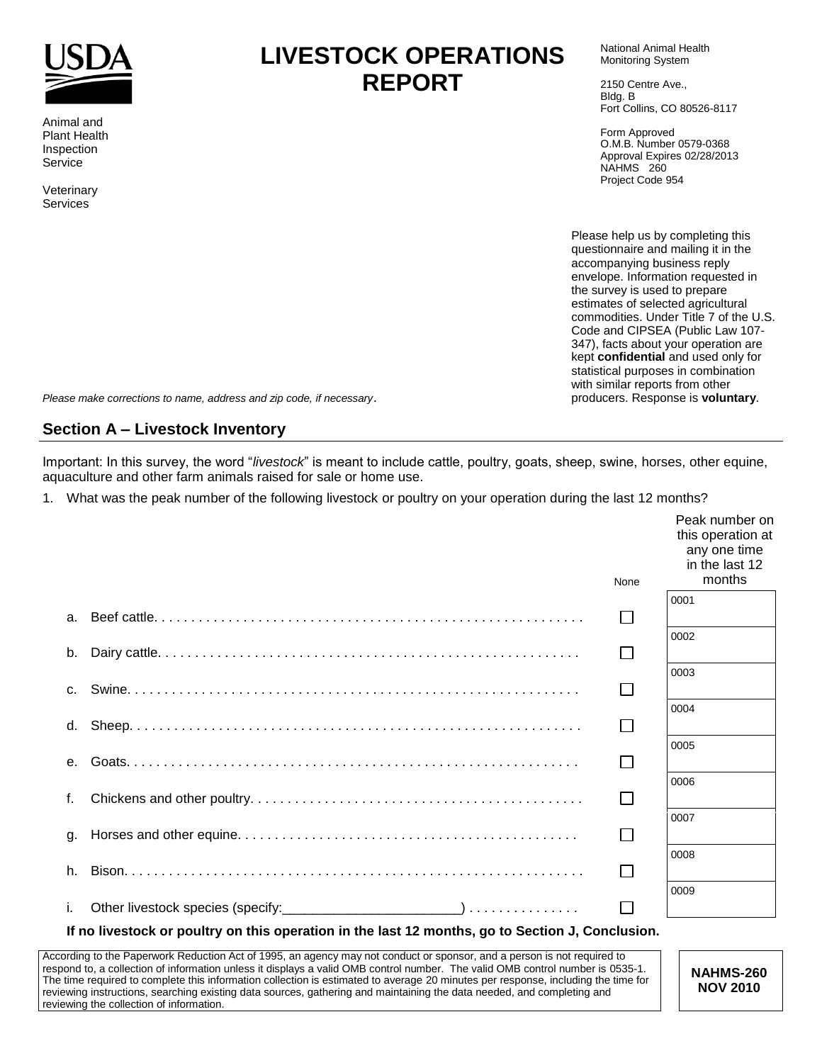<span id="page-0-0"></span>

Animal and Plant Health Inspection Service

Veterinary Services

# **LIVESTOCK OPERATIONS REPORT**

National Animal Health Monitoring System

2150 Centre Ave., Bldg. B Fort Collins, CO 80526-8117

Form Approved O.M.B. Number 0579-0368 Approval Expires 02/28/2013 NAHMS 260 Project Code 954

Please help us by completing this questionnaire and mailing it in the accompanying business reply envelope. Information requested in the survey is used to prepare estimates of selected agricultural commodities. Under Title 7 of the U.S. Code and CIPSEA (Public Law 107- 347), facts about your operation are kept **confidential** and used only for statistical purposes in combination with similar reports from other producers. Response is **voluntary**.

*Please make corrections to name, address and zip code, if necessary*.

## **Section A – Livestock Inventory**

Important: In this survey, the word "*livestock*" is meant to include cattle, poultry, goats, sheep, swine, horses, other equine, aquaculture and other farm animals raised for sale or home use.

1. What was the peak number of the following livestock or poultry on your operation during the last 12 months?

|                                                                                               |              | Peak number on<br>this operation at<br>any one time<br>in the last 12 |
|-----------------------------------------------------------------------------------------------|--------------|-----------------------------------------------------------------------|
|                                                                                               | None         | months                                                                |
|                                                                                               |              | 0001                                                                  |
| a.                                                                                            |              |                                                                       |
| b.                                                                                            |              | 0002                                                                  |
|                                                                                               |              | 0003                                                                  |
| $C_{1}$                                                                                       | $\mathsf{L}$ |                                                                       |
|                                                                                               |              | 0004                                                                  |
| d.                                                                                            |              |                                                                       |
|                                                                                               |              | 0005                                                                  |
|                                                                                               |              | 0006                                                                  |
| f.                                                                                            | $\Box$       |                                                                       |
|                                                                                               |              | 0007                                                                  |
| g.                                                                                            |              |                                                                       |
| h.                                                                                            |              | 0008                                                                  |
|                                                                                               |              | 0009                                                                  |
| i.                                                                                            |              |                                                                       |
| Kne liveateak er naultry en thio anoration in the leat 10 menths, no to Cestian J. Canalusian |              |                                                                       |

#### **If no livestock or poultry on this operation in the last 12 months, go to Section J, Conclusion.**

According to the Paperwork Reduction Act of 1995, an agency may not conduct or sponsor, and a person is not required to respond to, a collection of information unless it displays a valid OMB control number. The valid OMB control number is 0535-1. The time required to complete this information collection is estimated to average 20 minutes per response, including the time for reviewing instructions, searching existing data sources, gathering and maintaining the data needed, and completing and reviewing the collection of information.

**NAHMS-260 NOV 2010**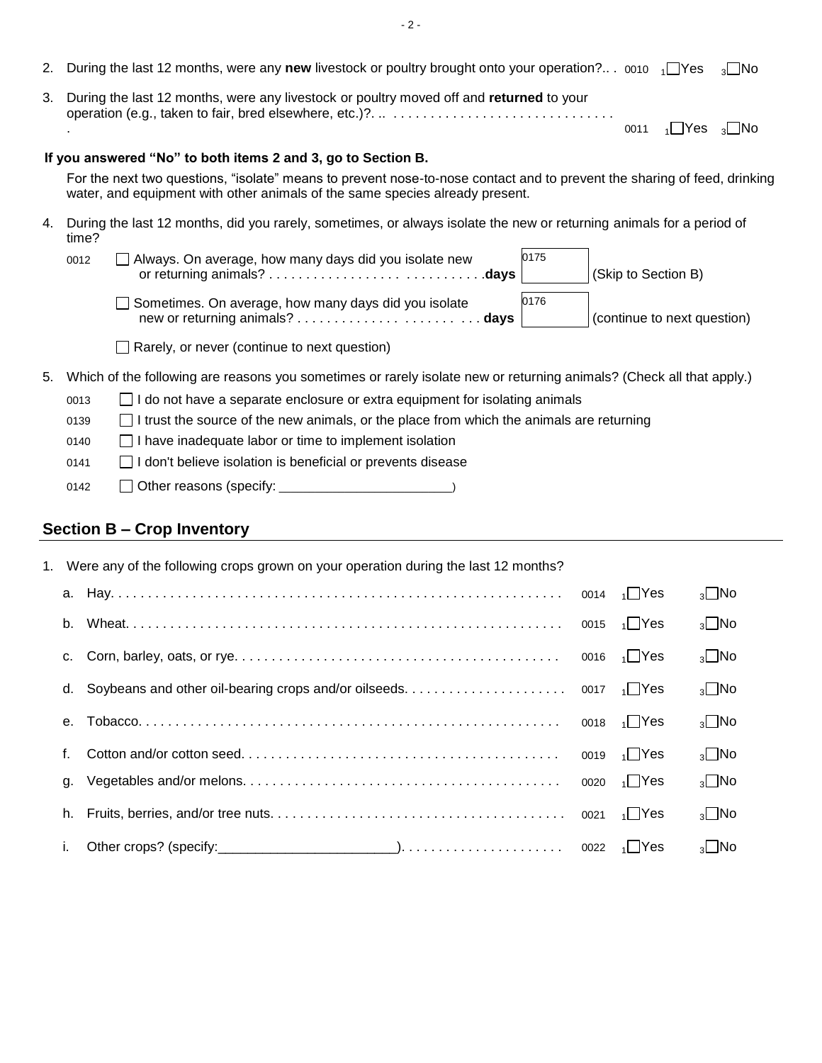- 2. During the last 12 months, were any **new** livestock or poultry brought onto your operation?.. . 0010 <sub>1</sub> Yes <sub>3</sub> No
- 3. During the last 12 months, were any livestock or poultry moved off and **returned** to your operation (e.g., taken to fair, bred elsewhere, etc.)?. .. . . . . . . . . . . . . . . . . . . . . . . . . . . . . . . 0011  $\sqrt{1 + 1}$  Yes  $\sqrt{3}$  No

#### **If you answered "No" to both items 2 and 3, go to Section B.**

For the next two questions, "isolate" means to prevent nose-to-nose contact and to prevent the sharing of feed, drinking water, and equipment with other animals of the same species already present.

4. During the last 12 months, did you rarely, sometimes, or always isolate the new or returning animals for a period of time?

| 0012 | Always. On average, how many days did you isolate new | 0175 | (Skip to Section B)         |
|------|-------------------------------------------------------|------|-----------------------------|
|      | Sometimes. On average, how many days did you isolate  | 0176 | (continue to next question) |

 $\Box$  Rarely, or never (continue to next question)

5. Which of the following are reasons you sometimes or rarely isolate new or returning animals? (Check all that apply.)

| □ I do not have a separate enclosure or extra equipment for isolating animals<br>0013 |  |  |  |  |  |  |  |  |
|---------------------------------------------------------------------------------------|--|--|--|--|--|--|--|--|
|---------------------------------------------------------------------------------------|--|--|--|--|--|--|--|--|

- $0139$   $\Box$  I trust the source of the new animals, or the place from which the animals are returning
- 0140 **I** have inadequate labor or time to implement isolation
- 0141 **I** I don't believe isolation is beneficial or prevents disease
- 0142 Other reasons (specify: \_\_\_\_\_\_\_\_\_\_\_\_\_\_\_\_\_\_\_\_\_\_\_\_\_\_\_\_\_)

## **Section B – Crop Inventory**

|                | 1. Were any of the following crops grown on your operation during the last 12 months? |                        |                |
|----------------|---------------------------------------------------------------------------------------|------------------------|----------------|
|                |                                                                                       | 0014 $\frac{1}{1}$ Yes | $_3\square$ No |
| b.             |                                                                                       |                        | $_3\square$ No |
| $C_{1}$        |                                                                                       |                        | $_3\square$ No |
| d.             |                                                                                       |                        | $_3\square$ No |
| e <sub>1</sub> |                                                                                       | 0018 $\sqrt{1}$ Yes    | $_3\square$ No |
| f.             |                                                                                       | 0019 $\sqrt{1}$ Yes    | $_3\square$ No |
| q.             |                                                                                       | 0020 $\sqrt{1}$ Yes    | $_3\square$ No |
| h.             |                                                                                       |                        | $_3\square$ No |
| i.             |                                                                                       |                        | $_3$ No        |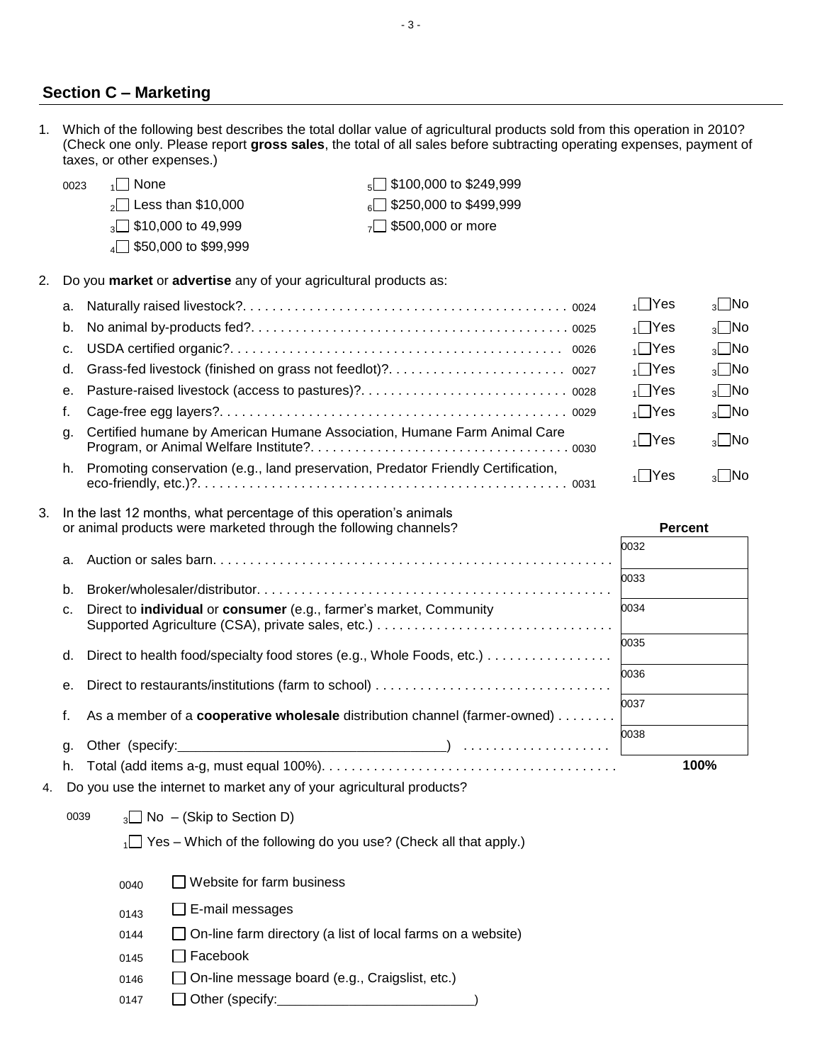### **Section C – Marketing**

1. Which of the following best describes the total dollar value of agricultural products sold from this operation in 2010? (Check one only. Please report **gross sales**, the total of all sales before subtracting operating expenses, payment of taxes, or other expenses.)

| 0023 | 1   None                        | $\sqrt{5}$ \$100,000 to \$249,999 |
|------|---------------------------------|-----------------------------------|
|      | $\sqrt{2}$ Less than \$10,000   | $\sqrt{250,000}$ to \$499,999     |
|      | $\sqrt{3}$ \$10,000 to 49,999   | $_{7}$ \$500,000 or more          |
|      | $\sqrt{4}$ \$50,000 to \$99,999 |                                   |

2. Do you **market** or **advertise** any of your agricultural products as:

|    |                                                                                   | $\sqrt{1}$ Yes | $_3$ No                   |
|----|-----------------------------------------------------------------------------------|----------------|---------------------------|
| b. |                                                                                   | $\sqrt{1}$ Yes | $\sqrt{2}$ No             |
|    |                                                                                   | $\sqrt{1}$ Yes | $\sqrt{2}$ No             |
| d. |                                                                                   | $\sqrt{1}$ Yes | $_3\square$ No            |
|    |                                                                                   | $\sqrt{1}$ Yes | $\sqrt{2}$ No             |
|    |                                                                                   | $\sqrt{1}$ Yes | $_3\square$ No            |
| q. | Certified humane by American Humane Association, Humane Farm Animal Care          | $\sqrt{1}$ Yes | $\sqrt{2}$ No             |
| h. | Promoting conservation (e.g., land preservation, Predator Friendly Certification, | 1 IYes         | $\lceil \cdot \rceil$ INo |

#### 3. In the last 12 months, what percentage of this operation's animals or animal products were marketed through the following channels? **Percent**

| or animal products were marketed through the following channels?                     | <b>Percent</b> |
|--------------------------------------------------------------------------------------|----------------|
|                                                                                      | 0032           |
|                                                                                      | 0033           |
| c. Direct to <b>individual</b> or <b>consumer</b> (e.g., farmer's market, Community  | 0034           |
| d. Direct to health food/specialty food stores (e.g., Whole Foods, etc.)             | 0035           |
|                                                                                      | 0036           |
| f. As a member of a <b>cooperative wholesale</b> distribution channel (farmer-owned) | 0037           |
|                                                                                      | 0038           |
|                                                                                      | 100%           |
| $\Omega$ a very use the internet to merket envert your explainting producte?         |                |

|  |  | 4. Do you use the internet to market any of your agricultural products? |  |  |  |  |
|--|--|-------------------------------------------------------------------------|--|--|--|--|
|--|--|-------------------------------------------------------------------------|--|--|--|--|

| 0039 |  |  | $_3\Box$ No – (Skip to Section D) |  |
|------|--|--|-----------------------------------|--|
|------|--|--|-----------------------------------|--|

| $_{1}\Box$ Yes – Which of the following do you use? (Check all that apply.) |  |  |
|-----------------------------------------------------------------------------|--|--|
|-----------------------------------------------------------------------------|--|--|

| $\Box$ Website for farm business<br>0040 |
|------------------------------------------|
|------------------------------------------|

- $0143$  E-mail messages
- 0144 On-line farm directory (a list of local farms on a website)
- $0145$   $\Box$  Facebook
- 0146 **On-line message board (e.g., Craigslist, etc.)**
- 0147 Other (specify:\_\_\_\_\_\_\_\_\_\_\_\_\_\_\_\_\_\_\_\_\_\_\_\_\_\_\_\_\_\_\_\_\_)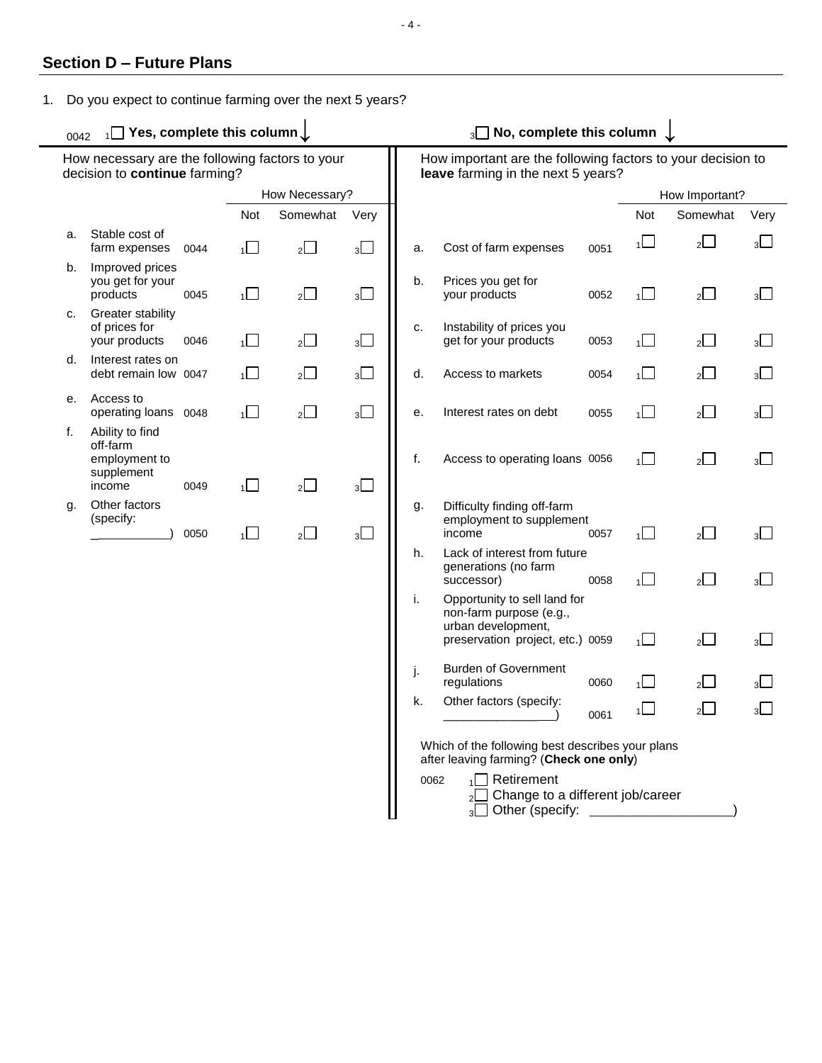## **Section D – Future Plans**

1. Do you expect to continue farming over the next 5 years?

<sup>0042</sup> <sup>1</sup> **Yes, complete this column↓** <sup>3</sup> **No, complete this column ↓**

|    | How necessary are the following factors to your<br>decision to continue farming?                                                  |      |                |                |                |    | How important are the following factors to your decision to<br>leave farming in the next 5 years?                 |      |                |                |                |  |
|----|-----------------------------------------------------------------------------------------------------------------------------------|------|----------------|----------------|----------------|----|-------------------------------------------------------------------------------------------------------------------|------|----------------|----------------|----------------|--|
|    |                                                                                                                                   |      |                | How Necessary? |                |    |                                                                                                                   |      |                | How Important? |                |  |
|    |                                                                                                                                   |      | Not            | Somewhat       | Very           |    |                                                                                                                   |      | Not            | Somewhat       | Very           |  |
| a. | Stable cost of<br>farm expenses                                                                                                   | 0044 | $\Box$         | $\overline{2}$ | $3\Box$        | a. | Cost of farm expenses                                                                                             | 0051 | $\overline{1}$ | 2              | $3\Box$        |  |
| b. | Improved prices<br>you get for your<br>products                                                                                   | 0045 | $\overline{1}$ | $2\Box$        | $3\Box$        | b. | Prices you get for<br>your products                                                                               | 0052 | $\overline{1}$ | 2              | $3\Box$        |  |
| c. | Greater stability<br>of prices for<br>your products                                                                               | 0046 | $\overline{1}$ | $2\Box$        | 3 <sub>1</sub> | c. | Instability of prices you<br>get for your products                                                                | 0053 | $\overline{1}$ | 2              | 3 <sub>1</sub> |  |
| d. | Interest rates on<br>debt remain low 0047                                                                                         |      | $\overline{1}$ | $2\Box$        | $3\Box$        | d. | Access to markets                                                                                                 | 0054 | $\overline{1}$ | 2              | $3\Box$        |  |
| е. | Access to<br>operating loans 0048                                                                                                 |      | 1              | $2\Box$        | $3\Box$        | е. | Interest rates on debt                                                                                            | 0055 | $\overline{1}$ | 2              | 3 <sub>1</sub> |  |
| f. | Ability to find<br>off-farm<br>employment to<br>supplement<br>income                                                              | 0049 | $\Box$         | $2\Box$        | $3\Box$        | f. | Access to operating loans 0056                                                                                    |      | $\overline{1}$ | $2\Box$        | $3\Box$        |  |
| g. | Other factors<br>(specify:                                                                                                        | 0050 | $\Box$         | $2\Box$        | $3\Box$        | g. | Difficulty finding off-farm<br>employment to supplement<br>income                                                 | 0057 | $\overline{1}$ | $\overline{2}$ | $3\Box$        |  |
|    |                                                                                                                                   |      |                |                |                | h. | Lack of interest from future<br>generations (no farm<br>successor)                                                | 0058 | $\overline{1}$ | $2\Box$        | $3\Box$        |  |
|    |                                                                                                                                   |      |                |                |                | i. | Opportunity to sell land for<br>non-farm purpose (e.g.,<br>urban development,<br>preservation project, etc.) 0059 |      | $1\Box$        | $\overline{2}$ | $3\Box$        |  |
|    |                                                                                                                                   |      |                |                |                | j. | <b>Burden of Government</b><br>regulations                                                                        | 0060 | 1              | 2              | $3\Box$        |  |
|    |                                                                                                                                   |      |                |                |                | k. | Other factors (specify:                                                                                           | 0061 | $\overline{1}$ | $2\Box$        | $3\Box$        |  |
|    |                                                                                                                                   |      |                |                |                |    | Which of the following best describes your plans<br>after leaving farming? (Check one only)                       |      |                |                |                |  |
|    | $\Box$ Retirement<br>0062<br>Change to a different job/career<br>2 <sup>l</sup><br>Other (specify: ____________<br>3 <sup>L</sup> |      |                |                |                |    |                                                                                                                   |      |                |                |                |  |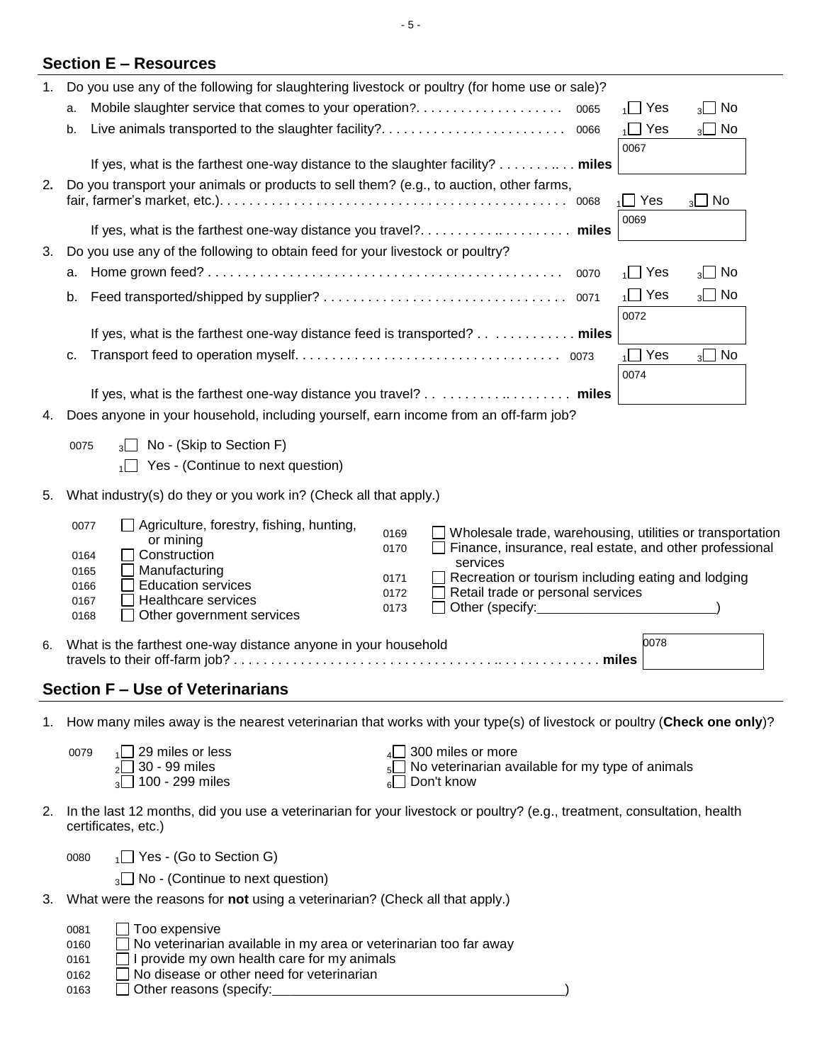| 1. | Do you use any of the following for slaughtering livestock or poultry (for home use or sale)? |                                                                                                                                                |            |                                                                |  |            |                   |  |  |
|----|-----------------------------------------------------------------------------------------------|------------------------------------------------------------------------------------------------------------------------------------------------|------------|----------------------------------------------------------------|--|------------|-------------------|--|--|
|    | a.                                                                                            |                                                                                                                                                |            |                                                                |  |            | $_3\square$ No    |  |  |
|    | b.                                                                                            |                                                                                                                                                | $\Box$ Yes | $_3\square$ No                                                 |  |            |                   |  |  |
|    |                                                                                               |                                                                                                                                                | 0067       |                                                                |  |            |                   |  |  |
|    |                                                                                               | If yes, what is the farthest one-way distance to the slaughter facility? miles                                                                 |            |                                                                |  |            |                   |  |  |
| 2. |                                                                                               | Do you transport your animals or products to sell them? (e.g., to auction, other farms,                                                        |            |                                                                |  |            |                   |  |  |
|    | $_3\square$ No<br>$\Box$ Yes<br>0068<br>1I                                                    |                                                                                                                                                |            |                                                                |  |            |                   |  |  |
|    |                                                                                               |                                                                                                                                                |            |                                                                |  | 0069       |                   |  |  |
|    |                                                                                               |                                                                                                                                                |            |                                                                |  |            |                   |  |  |
| 3. |                                                                                               | Do you use any of the following to obtain feed for your livestock or poultry?                                                                  |            |                                                                |  |            |                   |  |  |
|    | а.                                                                                            |                                                                                                                                                |            |                                                                |  | $\Box$ Yes | No<br>$3^{\vert}$ |  |  |
|    | b.                                                                                            |                                                                                                                                                |            |                                                                |  | $\Box$ Yes | $_3\square$ No    |  |  |
|    |                                                                                               |                                                                                                                                                |            |                                                                |  | 0072       |                   |  |  |
|    |                                                                                               | If yes, what is the farthest one-way distance feed is transported? miles                                                                       |            |                                                                |  |            |                   |  |  |
|    | c.                                                                                            |                                                                                                                                                |            |                                                                |  | $\Box$ Yes | $_3\square$ No    |  |  |
|    |                                                                                               |                                                                                                                                                |            |                                                                |  | 0074       |                   |  |  |
|    |                                                                                               | If yes, what is the farthest one-way distance you travel? miles                                                                                |            |                                                                |  |            |                   |  |  |
| 4. |                                                                                               | Does anyone in your household, including yourself, earn income from an off-farm job?                                                           |            |                                                                |  |            |                   |  |  |
|    |                                                                                               |                                                                                                                                                |            |                                                                |  |            |                   |  |  |
|    | 0075                                                                                          | $_3\Box$ No - (Skip to Section F)                                                                                                              |            |                                                                |  |            |                   |  |  |
|    |                                                                                               | Yes - (Continue to next question)                                                                                                              |            |                                                                |  |            |                   |  |  |
| 5. |                                                                                               | What industry(s) do they or you work in? (Check all that apply.)                                                                               |            |                                                                |  |            |                   |  |  |
|    |                                                                                               |                                                                                                                                                |            |                                                                |  |            |                   |  |  |
|    | 0077                                                                                          | Agriculture, forestry, fishing, hunting,<br>or mining                                                                                          | 0169       | Wholesale trade, warehousing, utilities or transportation      |  |            |                   |  |  |
|    | 0164                                                                                          | Construction                                                                                                                                   | 0170       | Finance, insurance, real estate, and other professional        |  |            |                   |  |  |
|    | 0165                                                                                          | Manufacturing                                                                                                                                  | 0171       | services<br>Recreation or tourism including eating and lodging |  |            |                   |  |  |
|    | 0166                                                                                          | <b>Education services</b>                                                                                                                      | 0172       | Retail trade or personal services                              |  |            |                   |  |  |
|    | 0167<br>0168                                                                                  | Healthcare services<br>Other government services                                                                                               | 0173       | Other (specify:_______________                                 |  |            |                   |  |  |
|    |                                                                                               |                                                                                                                                                |            |                                                                |  |            |                   |  |  |
| 6. |                                                                                               | What is the farthest one-way distance anyone in your household                                                                                 |            |                                                                |  | 0078       |                   |  |  |
|    |                                                                                               |                                                                                                                                                |            |                                                                |  |            |                   |  |  |
|    |                                                                                               | <b>Section F - Use of Veterinarians</b>                                                                                                        |            |                                                                |  |            |                   |  |  |
| 1. |                                                                                               | How many miles away is the nearest veterinarian that works with your type(s) of livestock or poultry (Check one only)?                         |            |                                                                |  |            |                   |  |  |
|    |                                                                                               |                                                                                                                                                |            |                                                                |  |            |                   |  |  |
|    | 0079                                                                                          | 29 miles or less                                                                                                                               |            | 300 miles or more                                              |  |            |                   |  |  |
|    |                                                                                               | 30 - 99 miles<br>100 - 299 miles                                                                                                               |            | No veterinarian available for my type of animals<br>Don't know |  |            |                   |  |  |
|    |                                                                                               |                                                                                                                                                |            |                                                                |  |            |                   |  |  |
| 2. |                                                                                               | In the last 12 months, did you use a veterinarian for your livestock or poultry? (e.g., treatment, consultation, health<br>certificates, etc.) |            |                                                                |  |            |                   |  |  |
|    | 0080                                                                                          | $\sqrt{1}$ Yes - (Go to Section G)                                                                                                             |            |                                                                |  |            |                   |  |  |
|    |                                                                                               |                                                                                                                                                |            |                                                                |  |            |                   |  |  |
|    |                                                                                               | $_3\Box$ No - (Continue to next question)                                                                                                      |            |                                                                |  |            |                   |  |  |
|    |                                                                                               | 3. What were the reasons for not using a veterinarian? (Check all that apply.)                                                                 |            |                                                                |  |            |                   |  |  |

| 0081 | $\Box$ Too expensive                                                     |
|------|--------------------------------------------------------------------------|
| 0160 | $\Box$ No veterinarian available in my area or veterinarian too far away |
| 0161 | $\Box$ I provide my own health care for my animals                       |
| 0162 | $\Box$ No disease or other need for veterinarian                         |
| 0163 | $\Box$ Other reasons (specify:                                           |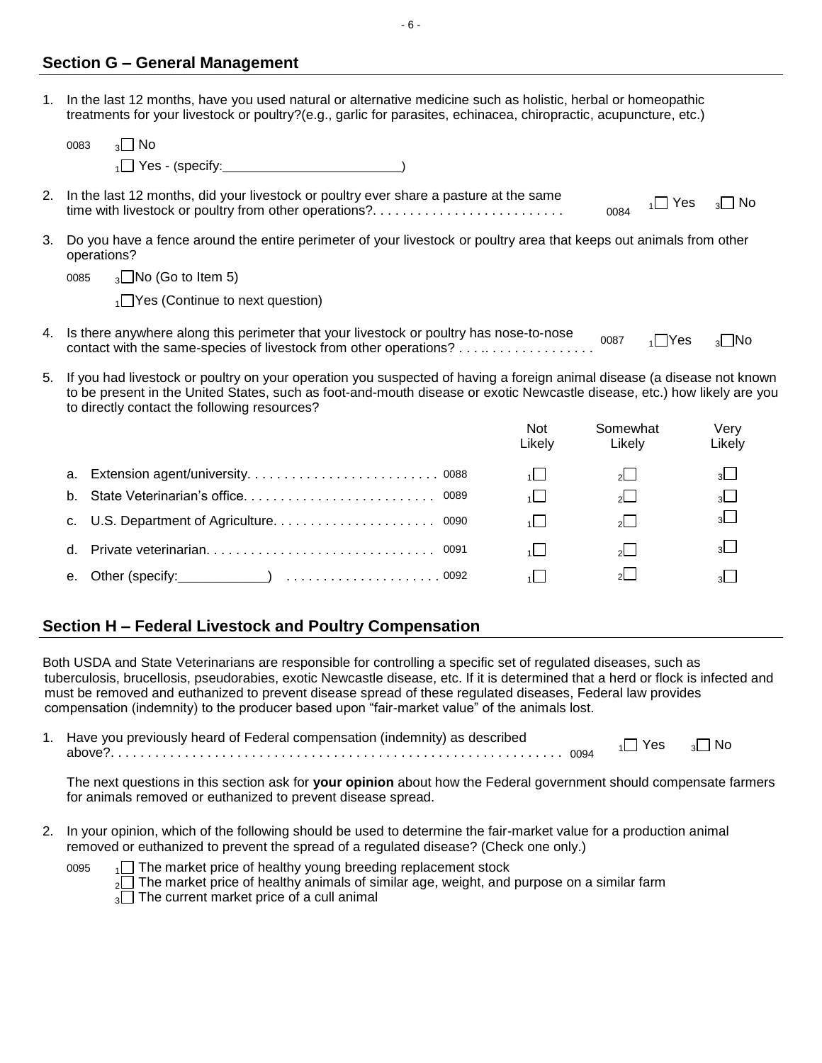### **Section G – General Management**

1. In the last 12 months, have you used natural or alternative medicine such as holistic, herbal or homeopathic treatments for your livestock or poultry?(e.g., garlic for parasites, echinacea, chiropractic, acupuncture, etc.)

- 6 -

|    | $\sqrt{2}$ No<br>0083                                                                                                                                                                     |  |  |  |  |  |  |
|----|-------------------------------------------------------------------------------------------------------------------------------------------------------------------------------------------|--|--|--|--|--|--|
|    |                                                                                                                                                                                           |  |  |  |  |  |  |
|    | 2. In the last 12 months, did your livestock or poultry ever share a pasture at the same<br>$_3\Box$ No<br>$\vert$   Yes<br>time with livestock or poultry from other operations?<br>0084 |  |  |  |  |  |  |
| 3. | Do you have a fence around the entire perimeter of your livestock or poultry area that keeps out animals from other<br>operations?                                                        |  |  |  |  |  |  |
|    | $_3\Box$ No (Go to Item 5)<br>0085                                                                                                                                                        |  |  |  |  |  |  |
|    | $\sqrt{1}$ Yes (Continue to next question)                                                                                                                                                |  |  |  |  |  |  |
|    | 4. Is there anywhere along this perimeter that your livestock or poultry has nose-to-nose<br>$\sqrt{1}$ Yes<br>$\sqrt{3}$ No<br>0087                                                      |  |  |  |  |  |  |
|    | E - If you had liveated canoultry as your executive you currented of bouise a ferrive existed disease (a disease not been                                                                 |  |  |  |  |  |  |

If you had livestock or poultry on your operation you suspected of having a foreign animal disease (a disease not known to be present in the United States, such as foot-and-mouth disease or exotic Newcastle disease, etc.) how likely are you to directly contact the following resources?

|    |  | <b>Not</b><br>Likely | Somewhat<br>Likelv | Verv<br>Likely |
|----|--|----------------------|--------------------|----------------|
|    |  |                      | $2^{\circ}$        |                |
| b. |  |                      | $2^{\square}$      | $3+$           |
|    |  |                      | $\overline{2}$     | 3 <sup>1</sup> |
|    |  |                      | $2^{\square}$      |                |
| е. |  |                      | $\mathcal{D}$      |                |

## **Section H – Federal Livestock and Poultry Compensation**

Both USDA and State Veterinarians are responsible for controlling a specific set of regulated diseases, such as tuberculosis, brucellosis, pseudorabies, exotic Newcastle disease, etc. If it is determined that a herd or flock is infected and must be removed and euthanized to prevent disease spread of these regulated diseases, Federal law provides compensation (indemnity) to the producer based upon "fair-market value" of the animals lost.

1. Have you previously heard of Federal compensation (indemnity) as described above?. . . . . . . . . . . . . . . . . . . . . . . . . . . . . . . . . . . . . . . . . . . . . . . . . . . . . . . . . . . . . <sup>0094</sup> <sup>1</sup> Yes <sup>3</sup> No

The next questions in this section ask for **your opinion** about how the Federal government should compensate farmers for animals removed or euthanized to prevent disease spread.

2. In your opinion, which of the following should be used to determine the fair-market value for a production animal removed or euthanized to prevent the spread of a regulated disease? (Check one only.)

 $0095 \text{ m}$  The market price of healthy young breeding replacement stock  $_2\square$  The market price of healthy animals of similar age, weight, and purpose on a similar farm  $3\Box$  The current market price of a cull animal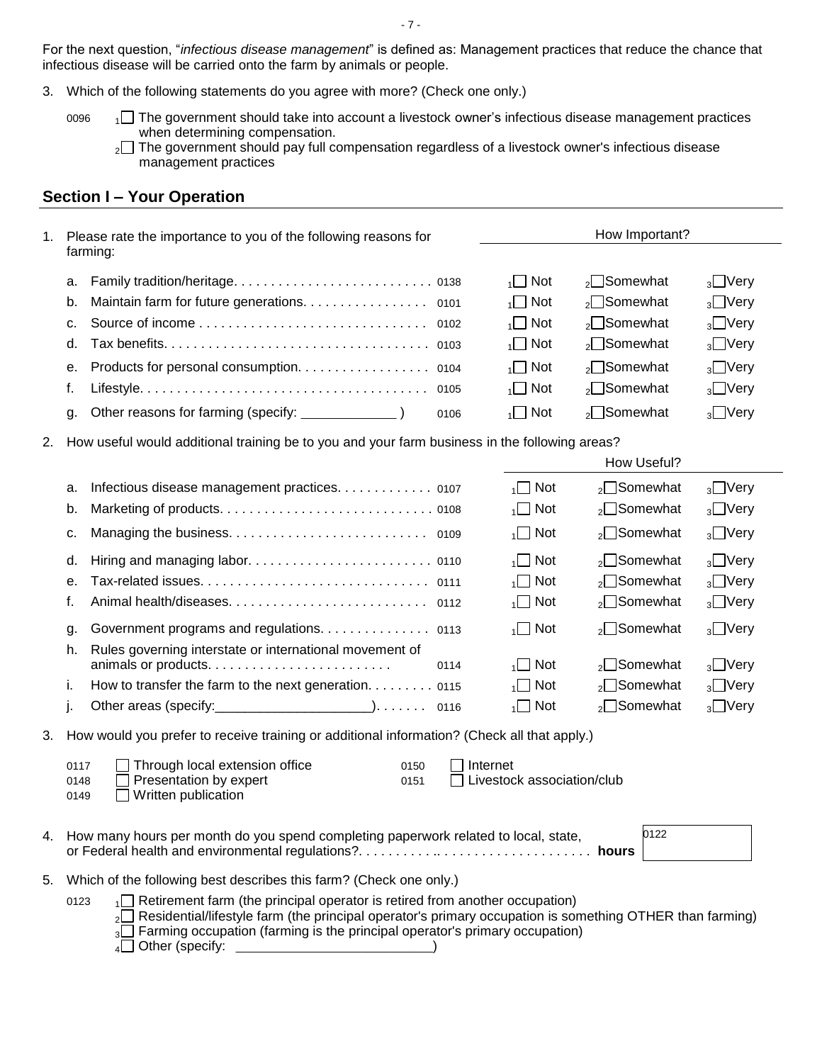For the next question, "*infectious disease management*" is defined as: Management practices that reduce the chance that infectious disease will be carried onto the farm by animals or people.

- 3. Which of the following statements do you agree with more? (Check one only.)
	- 0096  $\Box$  The government should take into account a livestock owner's infectious disease management practices when determining compensation.
		- <sub>2</sub> The government should pay full compensation regardless of a livestock owner's infectious disease management practices

## **Section I – Your Operation**

| 1. | Please rate the importance to you of the following reasons for                                                  |                                 | How Important?                                   |                        |  |  |  |  |
|----|-----------------------------------------------------------------------------------------------------------------|---------------------------------|--------------------------------------------------|------------------------|--|--|--|--|
|    | farming:                                                                                                        |                                 |                                                  |                        |  |  |  |  |
|    | а.                                                                                                              | $\Box$ Not                      | $_2\square$ Somewhat                             | $_3\square$ Very       |  |  |  |  |
|    | Maintain farm for future generations. 0101<br>b.                                                                | $\sqrt{1}$ Not                  | $_2\square$ Somewhat                             | $_3$ Very              |  |  |  |  |
|    | c.                                                                                                              | $\Box$ Not                      | $_{2}$ Somewhat                                  | $_3$ Very              |  |  |  |  |
|    | d.                                                                                                              | Not<br>$\overline{\phantom{a}}$ | $_{2}$ Somewhat                                  | $_3\square$ Very       |  |  |  |  |
|    | Products for personal consumption. 0104<br>е.                                                                   | $\Box$ Not                      | <sub>2</sub> □Somewhat                           | $3$ Very               |  |  |  |  |
|    | f.                                                                                                              | $\overline{1}$ Not              | $_{2}$ Somewhat                                  | $_3\square$ Very       |  |  |  |  |
|    | Other reasons for farming (specify: ________________)<br>g.<br>0106                                             | $\overline{1}$ Not              | $_{2}$ Somewhat                                  | $3$ <sup>O</sup> Very  |  |  |  |  |
| 2. | How useful would additional training be to you and your farm business in the following areas?                   |                                 |                                                  |                        |  |  |  |  |
|    |                                                                                                                 |                                 | How Useful?                                      |                        |  |  |  |  |
|    | Infectious disease management practices. 0107<br>а.                                                             | $\Box$ Not                      | <sub>2</sub> □Somewhat                           | $_3$ Very              |  |  |  |  |
|    | b.                                                                                                              | $\overline{1}$ Not              | $_{2}$ Somewhat                                  | $_3\square$ Very       |  |  |  |  |
|    | С.                                                                                                              | $\overline{1}$ Not              | <sub>2</sub> □Somewhat                           | $_3\square$ Very       |  |  |  |  |
|    | d.                                                                                                              | $\Box$ Not                      | <sub>2</sub> □Somewhat                           | $\sqrt{3}$ Very        |  |  |  |  |
|    | е.                                                                                                              | $\overline{1}$ Not              | ∍ <sup>O</sup> Somewhat                          | $3$ Very               |  |  |  |  |
|    | f.                                                                                                              | $\overline{1}$ Not              | $_{2}$ Somewhat                                  | $_3\square$ Very       |  |  |  |  |
|    | Government programs and regulations. 0113<br>g.                                                                 | Not<br>1 I                      | $_2\square$ Somewhat                             | $_3\square$ Very       |  |  |  |  |
|    | Rules governing interstate or international movement of<br>h.                                                   |                                 |                                                  |                        |  |  |  |  |
|    | 0114                                                                                                            | $\Box$ Not<br>$\Box$ Not        | <sub>2</sub> □Somewhat<br><sub>2</sub> □Somewhat | $_3$ Very<br>$_3$ Very |  |  |  |  |
|    | How to transfer the farm to the next generation. 0115<br>i.                                                     | $\overline{1}$ Not              | $_{2}$ Somewhat                                  | $3$ <sup>O</sup> Very  |  |  |  |  |
|    | j.                                                                                                              |                                 |                                                  |                        |  |  |  |  |
| 3. | How would you prefer to receive training or additional information? (Check all that apply.)                     |                                 |                                                  |                        |  |  |  |  |
|    | Through local extension office<br>0117<br>0150                                                                  | Internet                        |                                                  |                        |  |  |  |  |
|    | Presentation by expert<br>0148<br>0151                                                                          | Livestock association/club      |                                                  |                        |  |  |  |  |
|    | Written publication<br>0149                                                                                     |                                 |                                                  |                        |  |  |  |  |
|    | 4. How many hours per month do you spend completing paperwork related to local, state,                          |                                 | 0122                                             |                        |  |  |  |  |
|    |                                                                                                                 |                                 |                                                  |                        |  |  |  |  |
| 5. | Which of the following best describes this farm? (Check one only.)                                              |                                 |                                                  |                        |  |  |  |  |
|    | $\Box$ Retirement farm (the principal operator is retired from another occupation)<br>0123                      |                                 |                                                  |                        |  |  |  |  |
|    | $\sim$ Residential/lifestyle farm (the principal operator's primary occupation is something OTHER than farming) |                                 |                                                  |                        |  |  |  |  |
|    | $_3\Box$ Farming occupation (farming is the principal operator's primary occupation)                            |                                 |                                                  |                        |  |  |  |  |
|    |                                                                                                                 |                                 |                                                  |                        |  |  |  |  |